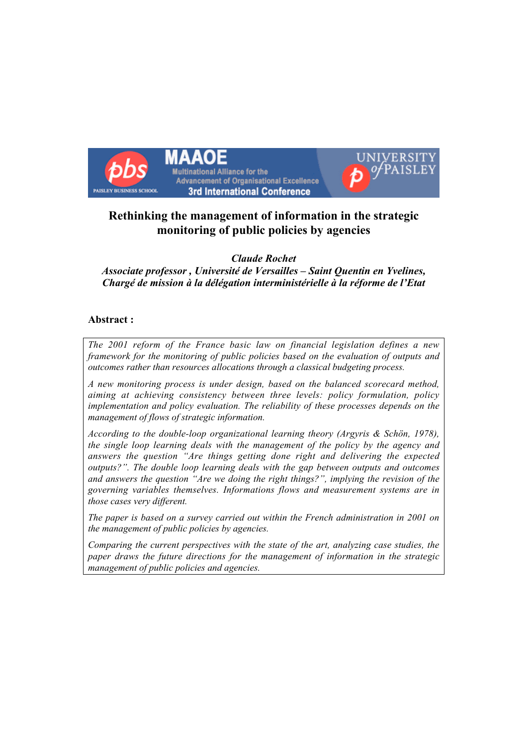

# **Rethinking the management of information in the strategic monitoring of public policies by agencies**

*Claude Rochet*

*Associate professor , Université de Versailles – Saint Quentin en Yvelines, Chargé de mission à la délégation interministérielle à la réforme de l'Etat*

## **Abstract :**

*The 2001 reform of the France basic law on financial legislation defines a new framework for the monitoring of public policies based on the evaluation of outputs and outcomes rather than resources allocations through a classical budgeting process.*

*A new monitoring process is under design, based on the balanced scorecard method, aiming at achieving consistency between three levels: policy formulation, policy implementation and policy evaluation. The reliability of these processes depends on the management of flows of strategic information.*

*According to the double-loop organizational learning theory (Argyris & Schön, 1978), the single loop learning deals with the management of the policy by the agency and answers the question "Are things getting done right and delivering the expected outputs?". The double loop learning deals with the gap between outputs and outcomes and answers the question "Are we doing the right things?", implying the revision of the governing variables themselves. Informations flows and measurement systems are in those cases very different.*

*The paper is based on a survey carried out within the French administration in 2001 on the management of public policies by agencies.*

*Comparing the current perspectives with the state of the art, analyzing case studies, the paper draws the future directions for the management of information in the strategic management of public policies and agencies.*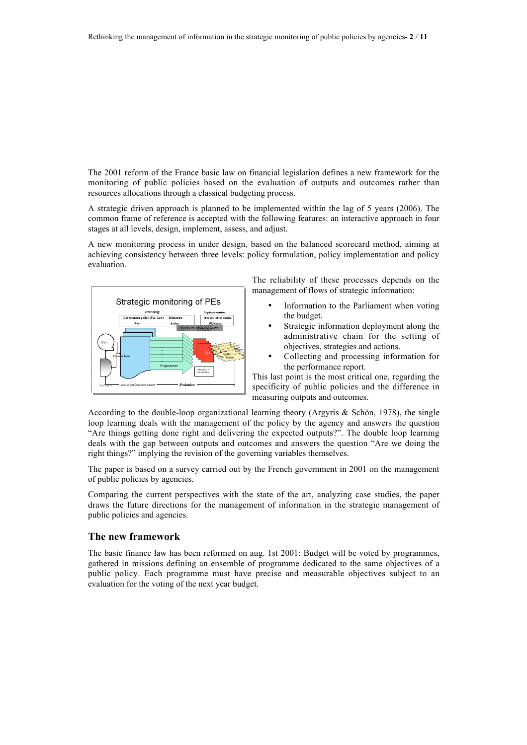The 2001 reform of the France basic law on financial legislation defines a new framework for the monitoring of public policies based on the evaluation of outputs and outcomes rather than resources allocations through a classical budgeting process.

A strategic driven approach is planned to be implemented within the lag of 5 years (2006). The common frame of reference is accepted with the following features: an interactive approach in four stages at all levels, design, implement, assess, and adjust.

A new monitoring process in under design, based on the balanced scorecard method, aiming at achieving consistency between three levels: policy formulation, policy implementation and policy evaluation.



The reliability of these processes depends on the management of flows of strategic information:

> Information to the Parliament when voting the budget.

Strategic information deployment along the administrative chain for the setting of objectives, strategies and actions.

Collecting and processing information for the performance report.

This last point is the most critical one, regarding the specificity of public policies and the difference in measuring outputs and outcomes.

According to the double-loop organizational learning theory (Argyris & Schön, 1978), the single loop learning deals with the management of the policy by the agency and answers the question "Are things getting done right and delivering the expected outputs?". The double loop learning deals with the gap between outputs and outcomes and answers the question "Are we doing the right things?" implying the revision of the governing variables themselves.

The paper is based on a survey carried out by the French government in 2001 on the management of public policies by agencies.

Comparing the current perspectives with the state of the art, analyzing case studies, the paper draws the future directions for the management of information in the strategic management of public policies and agencies.

## **The new framework**

The basic finance law has been reformed on aug. 1st 2001: Budget will be voted by programmes, gathered in missions defining an ensemble of programme dedicated to the same objectives of a public policy. Each programme must have precise and measurable objectives subject to an evaluation for the voting of the next year budget.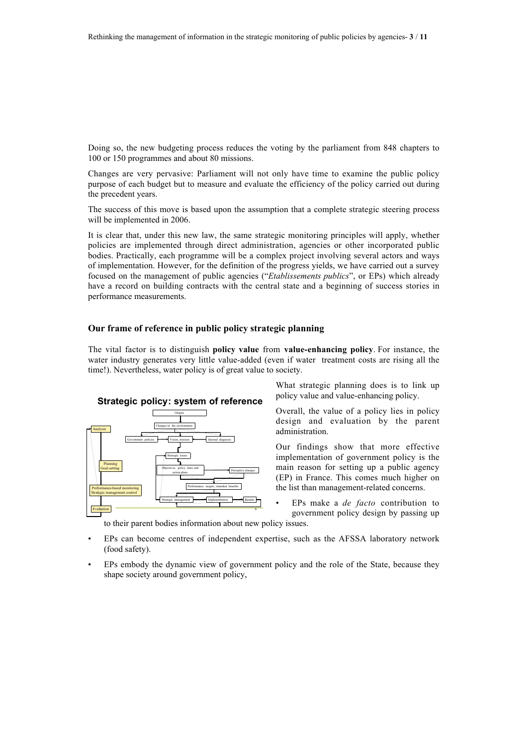Doing so, the new budgeting process reduces the voting by the parliament from 848 chapters to 100 or 150 programmes and about 80 missions.

Changes are very pervasive: Parliament will not only have time to examine the public policy purpose of each budget but to measure and evaluate the efficiency of the policy carried out during the precedent years.

The success of this move is based upon the assumption that a complete strategic steering process will be implemented in 2006.

It is clear that, under this new law, the same strategic monitoring principles will apply, whether policies are implemented through direct administration, agencies or other incorporated public bodies. Practically, each programme will be a complex project involving several actors and ways of implementation. However, for the definition of the progress yields, we have carried out a survey focused on the management of public agencies ("*Etablissements publics*", or EPs) which already have a record on building contracts with the central state and a beginning of success stories in performance measurements.

#### **Our frame of reference in public policy strategic planning**

The vital factor is to distinguish **policy value** from **value-enhancing policy**. For instance, the water industry generates very little value-added (even if water treatment costs are rising all the time!). Nevertheless, water policy is of great value to society.



What strategic planning does is to link up policy value and value-enhancing policy.

Overall, the value of a policy lies in policy design and evaluation by the parent administration.

Our findings show that more effective implementation of government policy is the main reason for setting up a public agency (EP) in France. This comes much higher on the list than management-related concerns.

• EPs make a *de facto* contribution to government policy design by passing up

to their parent bodies information about new policy issues.

- EPs can become centres of independent expertise, such as the AFSSA laboratory network (food safety).
- EPs embody the dynamic view of government policy and the role of the State, because they shape society around government policy,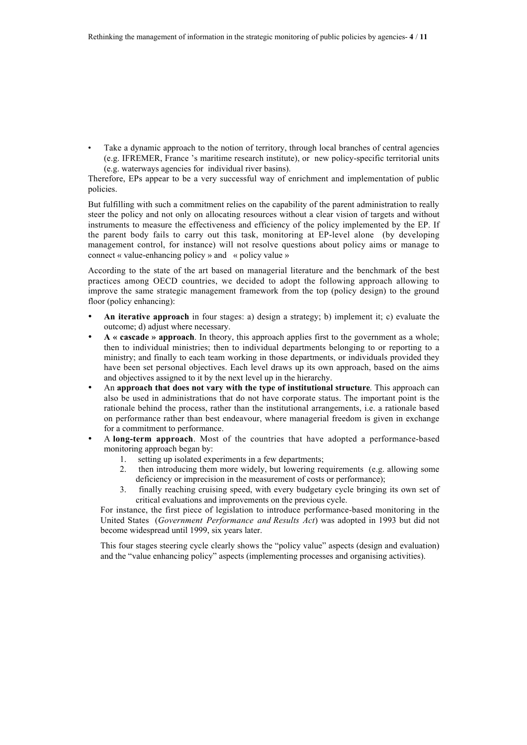Take a dynamic approach to the notion of territory, through local branches of central agencies (e.g. IFREMER, France 's maritime research institute), or new policy-specific territorial units (e.g. waterways agencies for individual river basins).

Therefore, EPs appear to be a very successful way of enrichment and implementation of public policies.

But fulfilling with such a commitment relies on the capability of the parent administration to really steer the policy and not only on allocating resources without a clear vision of targets and without instruments to measure the effectiveness and efficiency of the policy implemented by the EP. If the parent body fails to carry out this task, monitoring at EP-level alone (by developing management control, for instance) will not resolve questions about policy aims or manage to connect « value-enhancing policy » and « policy value »

According to the state of the art based on managerial literature and the benchmark of the best practices among OECD countries, we decided to adopt the following approach allowing to improve the same strategic management framework from the top (policy design) to the ground floor (policy enhancing):

**An iterative approach** in four stages: a) design a strategy; b) implement it; c) evaluate the outcome; d) adjust where necessary.

**A « cascade » approach**. In theory, this approach applies first to the government as a whole; then to individual ministries; then to individual departments belonging to or reporting to a ministry; and finally to each team working in those departments, or individuals provided they have been set personal objectives. Each level draws up its own approach, based on the aims and objectives assigned to it by the next level up in the hierarchy.

An **approach that does not vary with the type of institutional structure**. This approach can also be used in administrations that do not have corporate status. The important point is the rationale behind the process, rather than the institutional arrangements, i.e. a rationale based on performance rather than best endeavour, where managerial freedom is given in exchange for a commitment to performance.

A **long-term approach**. Most of the countries that have adopted a performance-based monitoring approach began by:

- 1. setting up isolated experiments in a few departments;
- 2. then introducing them more widely, but lowering requirements (e.g. allowing some deficiency or imprecision in the measurement of costs or performance);
- 3. finally reaching cruising speed, with every budgetary cycle bringing its own set of critical evaluations and improvements on the previous cycle.

For instance, the first piece of legislation to introduce performance-based monitoring in the United States (*Government Performance and Results Act*) was adopted in 1993 but did not become widespread until 1999, six years later.

This four stages steering cycle clearly shows the "policy value" aspects (design and evaluation) and the "value enhancing policy" aspects (implementing processes and organising activities).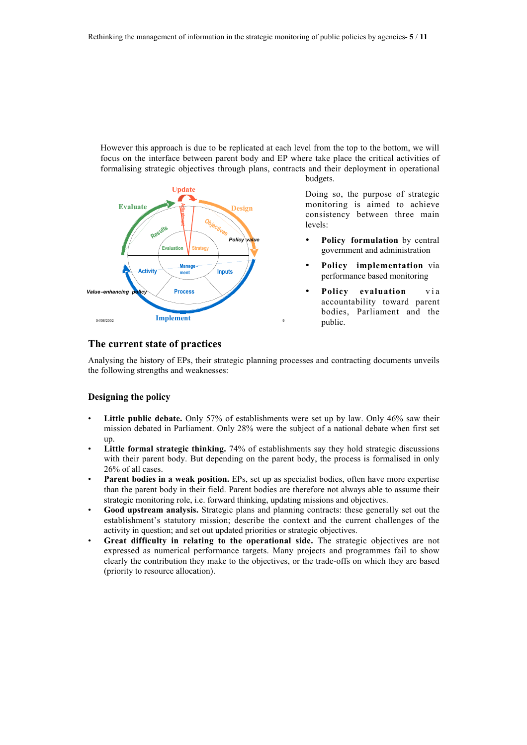However this approach is due to be replicated at each level from the top to the bottom, we will focus on the interface between parent body and EP where take place the critical activities of formalising strategic objectives through plans, contracts and their deployment in operational budgets.



Doing so, the purpose of strategic monitoring is aimed to achieve consistency between three main levels:

**Policy formulation** by central government and administration

**Policy implementation** via performance based monitoring

**Policy evaluation** via accountability toward parent bodies, Parliament and the public.

## **The current state of practices**

Analysing the history of EPs, their strategic planning processes and contracting documents unveils the following strengths and weaknesses:

### **Designing the policy**

- Little public debate. Only 57% of establishments were set up by law. Only 46% saw their mission debated in Parliament. Only 28% were the subject of a national debate when first set up.
- Little formal strategic thinking. 74% of establishments say they hold strategic discussions with their parent body. But depending on the parent body, the process is formalised in only 26% of all cases.
- **Parent bodies in a weak position.** EPs, set up as specialist bodies, often have more expertise than the parent body in their field. Parent bodies are therefore not always able to assume their strategic monitoring role, i.e. forward thinking, updating missions and objectives.
- **Good upstream analysis.** Strategic plans and planning contracts: these generally set out the establishment's statutory mission; describe the context and the current challenges of the activity in question; and set out updated priorities or strategic objectives.
- **Great difficulty in relating to the operational side.** The strategic objectives are not expressed as numerical performance targets. Many projects and programmes fail to show clearly the contribution they make to the objectives, or the trade-offs on which they are based (priority to resource allocation).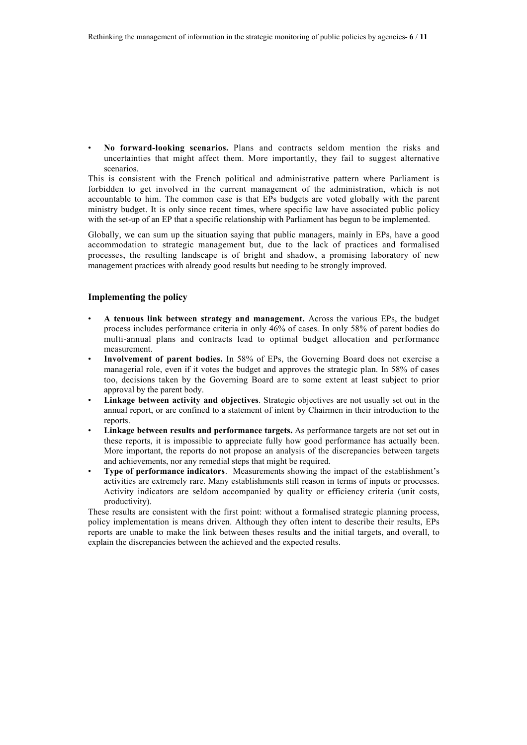• **No forward-looking scenarios.** Plans and contracts seldom mention the risks and uncertainties that might affect them. More importantly, they fail to suggest alternative scenarios.

This is consistent with the French political and administrative pattern where Parliament is forbidden to get involved in the current management of the administration, which is not accountable to him. The common case is that EPs budgets are voted globally with the parent ministry budget. It is only since recent times, where specific law have associated public policy with the set-up of an EP that a specific relationship with Parliament has begun to be implemented.

Globally, we can sum up the situation saying that public managers, mainly in EPs, have a good accommodation to strategic management but, due to the lack of practices and formalised processes, the resulting landscape is of bright and shadow, a promising laboratory of new management practices with already good results but needing to be strongly improved.

#### **Implementing the policy**

- **A tenuous link between strategy and management.** Across the various EPs, the budget process includes performance criteria in only 46% of cases. In only 58% of parent bodies do multi-annual plans and contracts lead to optimal budget allocation and performance measurement.
- **Involvement of parent bodies.** In 58% of EPs, the Governing Board does not exercise a managerial role, even if it votes the budget and approves the strategic plan. In 58% of cases too, decisions taken by the Governing Board are to some extent at least subject to prior approval by the parent body.
- **Linkage between activity and objectives**. Strategic objectives are not usually set out in the annual report, or are confined to a statement of intent by Chairmen in their introduction to the reports.
- **Linkage between results and performance targets.** As performance targets are not set out in these reports, it is impossible to appreciate fully how good performance has actually been. More important, the reports do not propose an analysis of the discrepancies between targets and achievements, nor any remedial steps that might be required.
- **Type of performance indicators**. Measurements showing the impact of the establishment's activities are extremely rare. Many establishments still reason in terms of inputs or processes. Activity indicators are seldom accompanied by quality or efficiency criteria (unit costs, productivity).

These results are consistent with the first point: without a formalised strategic planning process, policy implementation is means driven. Although they often intent to describe their results, EPs reports are unable to make the link between theses results and the initial targets, and overall, to explain the discrepancies between the achieved and the expected results.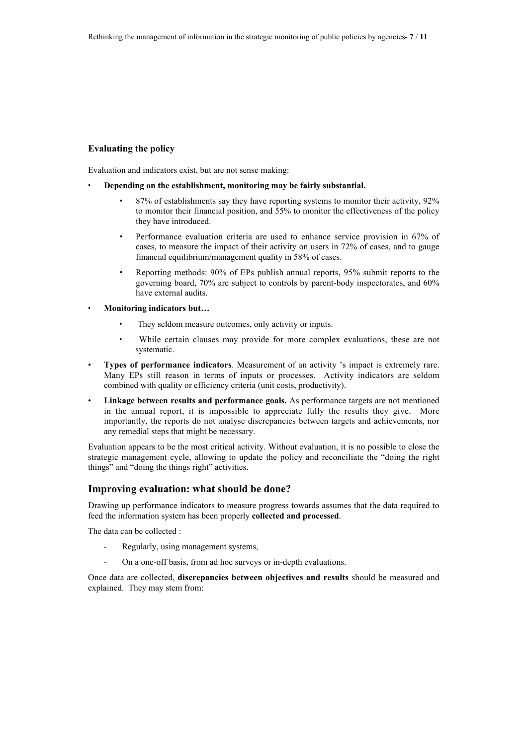## **Evaluating the policy**

Evaluation and indicators exist, but are not sense making:

- **Depending on the establishment, monitoring may be fairly substantial.**
	- 87% of establishments say they have reporting systems to monitor their activity, 92% to monitor their financial position, and 55% to monitor the effectiveness of the policy they have introduced.
	- Performance evaluation criteria are used to enhance service provision in 67% of cases, to measure the impact of their activity on users in 72% of cases, and to gauge financial equilibrium/management quality in 58% of cases.
	- Reporting methods: 90% of EPs publish annual reports, 95% submit reports to the governing board, 70% are subject to controls by parent-body inspectorates, and 60% have external audits.
- **Monitoring indicators but…**
	- They seldom measure outcomes, only activity or inputs.
	- While certain clauses may provide for more complex evaluations, these are not systematic.
- **Types of performance indicators**. Measurement of an activity 's impact is extremely rare. Many EPs still reason in terms of inputs or processes. Activity indicators are seldom combined with quality or efficiency criteria (unit costs, productivity).
- **Linkage between results and performance goals.** As performance targets are not mentioned in the annual report, it is impossible to appreciate fully the results they give. More importantly, the reports do not analyse discrepancies between targets and achievements, nor any remedial steps that might be necessary.

Evaluation appears to be the most critical activity. Without evaluation, it is no possible to close the strategic management cycle, allowing to update the policy and reconciliate the "doing the right things" and "doing the things right" activities.

### **Improving evaluation: what should be done?**

Drawing up performance indicators to measure progress towards assumes that the data required to feed the information system has been properly **collected and processed**.

The data can be collected :

- Regularly, using management systems,
- On a one-off basis, from ad hoc surveys or in-depth evaluations.

Once data are collected, **discrepancies between objectives and results** should be measured and explained. They may stem from: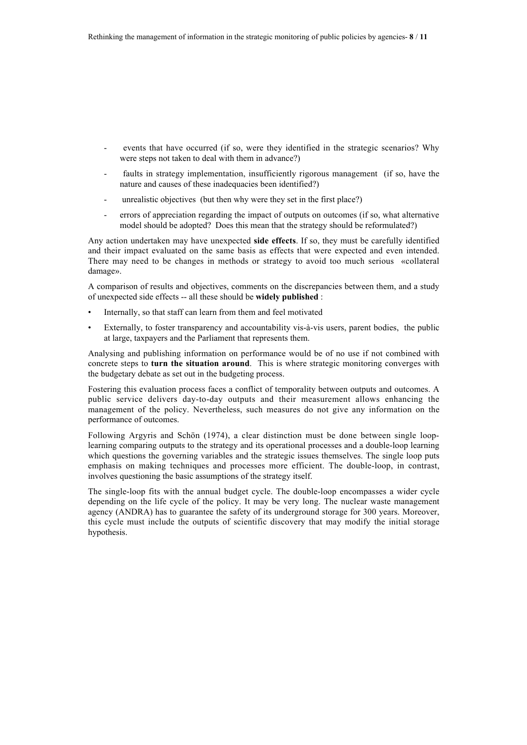- events that have occurred (if so, were they identified in the strategic scenarios? Why were steps not taken to deal with them in advance?)
- faults in strategy implementation, insufficiently rigorous management (if so, have the nature and causes of these inadequacies been identified?)
- unrealistic objectives (but then why were they set in the first place?)
- errors of appreciation regarding the impact of outputs on outcomes (if so, what alternative model should be adopted? Does this mean that the strategy should be reformulated?)

Any action undertaken may have unexpected **side effects**. If so, they must be carefully identified and their impact evaluated on the same basis as effects that were expected and even intended. There may need to be changes in methods or strategy to avoid too much serious «collateral damage».

A comparison of results and objectives, comments on the discrepancies between them, and a study of unexpected side effects -- all these should be **widely published** :

- Internally, so that staff can learn from them and feel motivated
- Externally, to foster transparency and accountability vis-à-vis users, parent bodies, the public at large, taxpayers and the Parliament that represents them.

Analysing and publishing information on performance would be of no use if not combined with concrete steps to **turn the situation around**. This is where strategic monitoring converges with the budgetary debate as set out in the budgeting process.

Fostering this evaluation process faces a conflict of temporality between outputs and outcomes. A public service delivers day-to-day outputs and their measurement allows enhancing the management of the policy. Nevertheless, such measures do not give any information on the performance of outcomes.

Following Argyris and Schön (1974), a clear distinction must be done between single looplearning comparing outputs to the strategy and its operational processes and a double-loop learning which questions the governing variables and the strategic issues themselves. The single loop puts emphasis on making techniques and processes more efficient. The double-loop, in contrast, involves questioning the basic assumptions of the strategy itself.

The single-loop fits with the annual budget cycle. The double-loop encompasses a wider cycle depending on the life cycle of the policy. It may be very long. The nuclear waste management agency (ANDRA) has to guarantee the safety of its underground storage for 300 years. Moreover, this cycle must include the outputs of scientific discovery that may modify the initial storage hypothesis.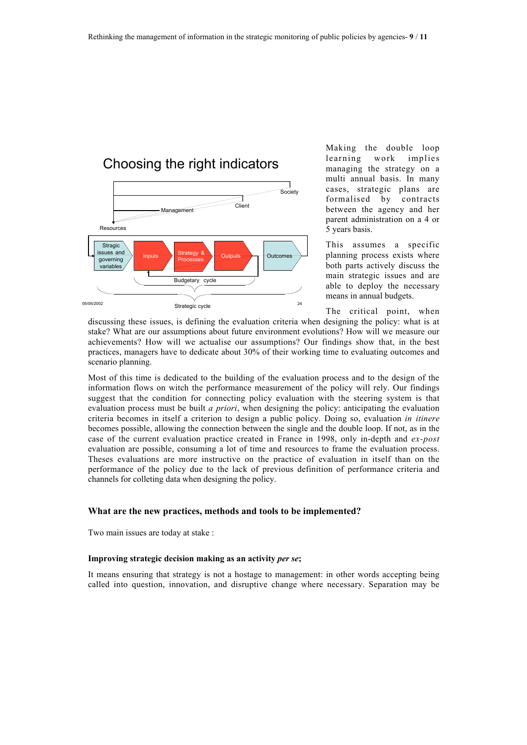



Making the double loop learning work implies managing the strategy on a multi annual basis. In many cases, strategic plans are formalised by contracts between the agency and her parent administration on a 4 or 5 years basis.

This assumes a specific planning process exists where both parts actively discuss the main strategic issues and are able to deploy the necessary means in annual budgets.

The critical point, when

discussing these issues, is defining the evaluation criteria when designing the policy: what is at stake? What are our assumptions about future environment evolutions? How will we measure our achievements? How will we actualise our assumptions? Our findings show that, in the best practices, managers have to dedicate about 30% of their working time to evaluating outcomes and scenario planning.

Most of this time is dedicated to the building of the evaluation process and to the design of the information flows on witch the performance measurement of the policy will rely. Our findings suggest that the condition for connecting policy evaluation with the steering system is that evaluation process must be built *a priori*, when designing the policy: anticipating the evaluation criteria becomes in itself a criterion to design a public policy. Doing so, evaluation *in itinere* becomes possible, allowing the connection between the single and the double loop. If not, as in the case of the current evaluation practice created in France in 1998, only in-depth and *ex-post* evaluation are possible, consuming a lot of time and resources to frame the evaluation process. Theses evaluations are more instructive on the practice of evaluation in itself than on the performance of the policy due to the lack of previous definition of performance criteria and channels for colleting data when designing the policy.

#### **What are the new practices, methods and tools to be implemented?**

Two main issues are today at stake :

#### **Improving strategic decision making as an activity** *per se***;**

It means ensuring that strategy is not a hostage to management: in other words accepting being called into question, innovation, and disruptive change where necessary. Separation may be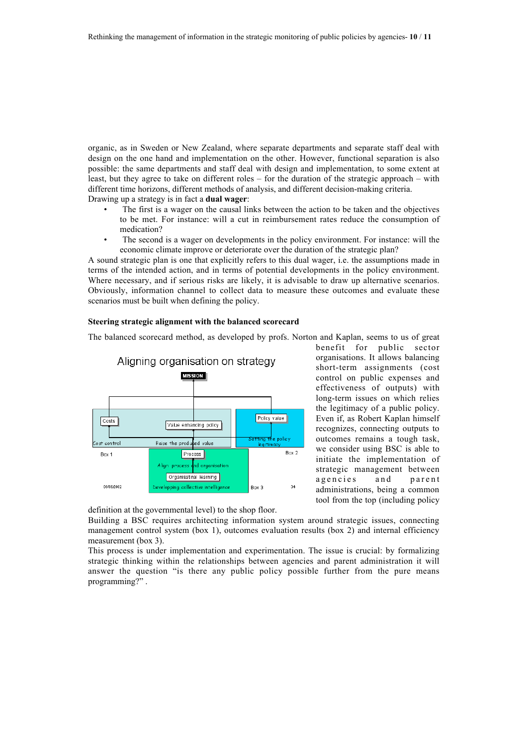organic, as in Sweden or New Zealand, where separate departments and separate staff deal with design on the one hand and implementation on the other. However, functional separation is also possible: the same departments and staff deal with design and implementation, to some extent at least, but they agree to take on different roles – for the duration of the strategic approach – with different time horizons, different methods of analysis, and different decision-making criteria. Drawing up a strategy is in fact a **dual wager**:

- The first is a wager on the causal links between the action to be taken and the objectives to be met. For instance: will a cut in reimbursement rates reduce the consumption of medication?
- The second is a wager on developments in the policy environment. For instance: will the economic climate improve or deteriorate over the duration of the strategic plan?

A sound strategic plan is one that explicitly refers to this dual wager, i.e. the assumptions made in terms of the intended action, and in terms of potential developments in the policy environment. Where necessary, and if serious risks are likely, it is advisable to draw up alternative scenarios. Obviously, information channel to collect data to measure these outcomes and evaluate these scenarios must be built when defining the policy.

#### **Steering strategic alignment with the balanced scorecard**

The balanced scorecard method, as developed by profs. Norton and Kaplan, seems to us of great



benefit for public sector organisations. It allows balancing short-term assignments (cost control on public expenses and effectiveness of outputs) with long-term issues on which relies the legitimacy of a public policy. Even if, as Robert Kaplan himself recognizes, connecting outputs to outcomes remains a tough task, we consider using BSC is able to initiate the implementation of strategic management between agencies and parent administrations, being a common tool from the top (including policy

definition at the governmental level) to the shop floor.

Building a BSC requires architecting information system around strategic issues, connecting management control system (box 1), outcomes evaluation results (box 2) and internal efficiency measurement (box 3).

This process is under implementation and experimentation. The issue is crucial: by formalizing strategic thinking within the relationships between agencies and parent administration it will answer the question "is there any public policy possible further from the pure means programming?" .